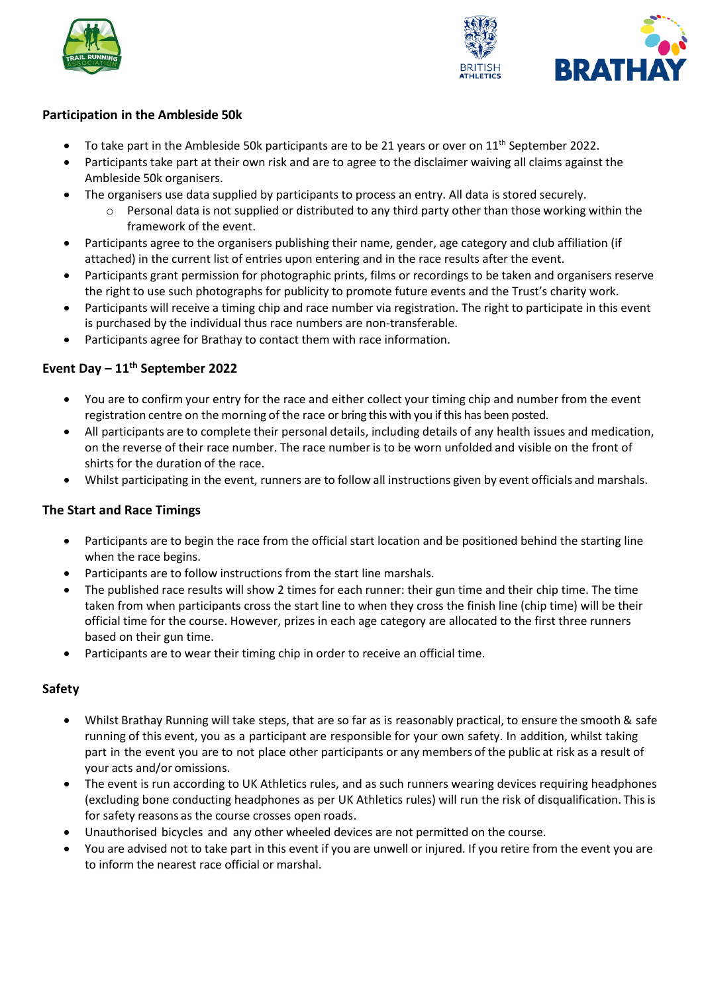



## **Participation in the Ambleside 50k**

- To take part in the Ambleside 50k participants are to be 21 years or over on  $11<sup>th</sup>$  September 2022.
- Participants take part at their own risk and are to agree to the disclaimer waiving all claims against the Ambleside 50k organisers.
- The organisers use data supplied by participants to process an entry. All data is stored securely.
	- $\circ$  Personal data is not supplied or distributed to any third party other than those working within the framework of the event.
- Participants agree to the organisers publishing their name, gender, age category and club affiliation (if attached) in the current list of entries upon entering and in the race results after the event.
- Participants grant permission for photographic prints, films or recordings to be taken and organisers reserve the right to use such photographs for publicity to promote future events and the Trust's charity work.
- Participants will receive a timing chip and race number via registration. The right to participate in this event is purchased by the individual thus race numbers are non-transferable.
- Participants agree for Brathay to contact them with race information.

# **Event Day – 11th September 2022**

- You are to confirm your entry for the race and either collect your timing chip and number from the event registration centre on the morning of the race or bring this with you if this has been posted.
- All participants are to complete their personal details, including details of any health issues and medication, on the reverse of their race number. The race number is to be worn unfolded and visible on the front of shirts for the duration of the race.
- Whilst participating in the event, runners are to follow all instructions given by event officials and marshals.

# **The Start and Race Timings**

- Participants are to begin the race from the official start location and be positioned behind the starting line when the race begins.
- Participants are to follow instructions from the start line marshals.
- The published race results will show 2 times for each runner: their gun time and their chip time. The time taken from when participants cross the start line to when they cross the finish line (chip time) will be their official time for the course. However, prizes in each age category are allocated to the first three runners based on their gun time.
- Participants are to wear their timing chip in order to receive an official time.

# **Safety**

- Whilst Brathay Running will take steps, that are so far as is reasonably practical, to ensure the smooth & safe running of this event, you as a participant are responsible for your own safety. In addition, whilst taking part in the event you are to not place other participants or any members of the public at risk as a result of your acts and/or omissions.
- The event is run according to UK Athletics rules, and as such runners wearing devices requiring headphones (excluding bone conducting headphones as per UK Athletics rules) will run the risk of disqualification. This is for safety reasons as the course crosses open roads.
- Unauthorised bicycles and any other wheeled devices are not permitted on the course.
- You are advised not to take part in this event if you are unwell or injured. If you retire from the event you are to inform the nearest race official or marshal.